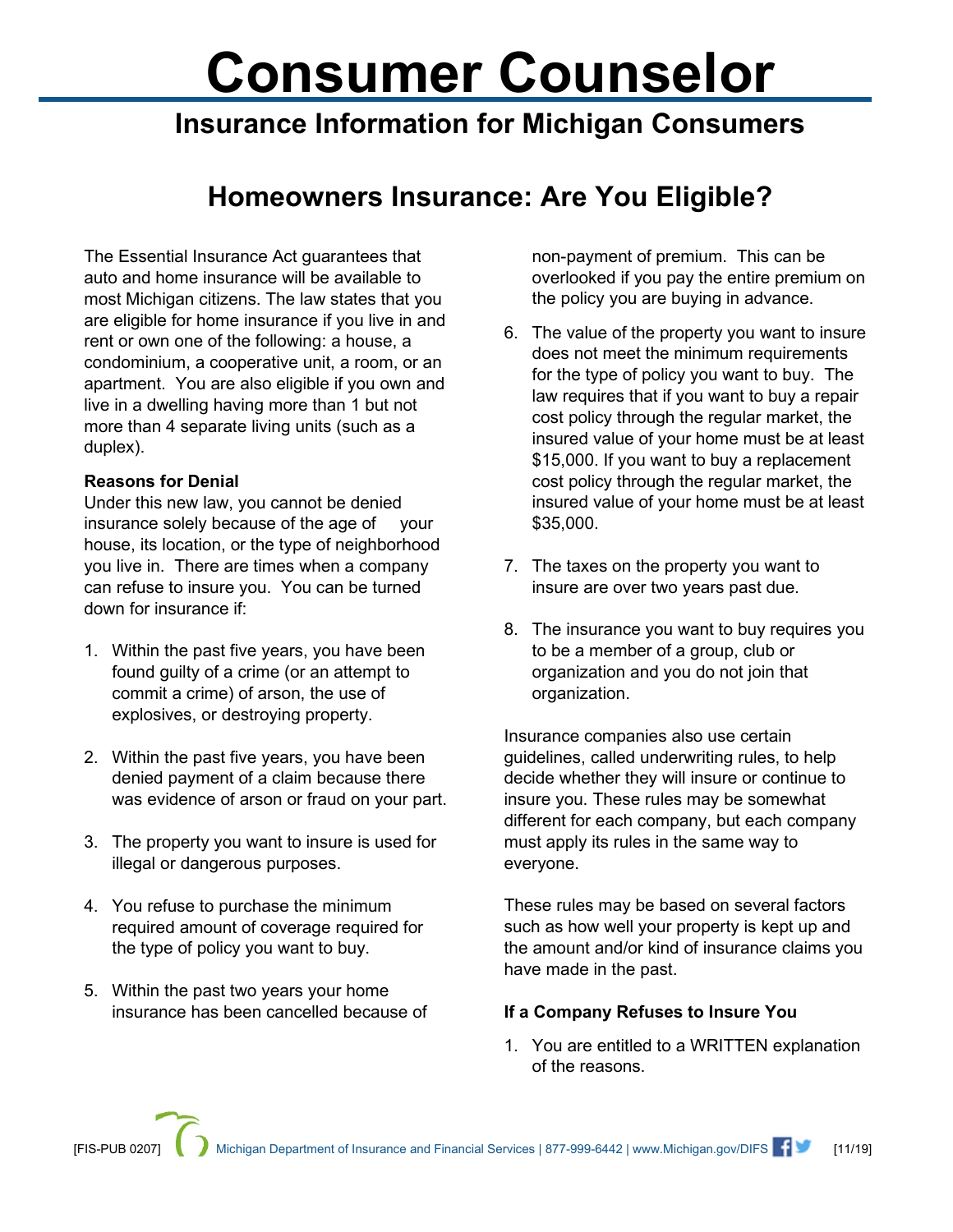# **Consumer Counselor**

# **Insurance Information for Michigan Consumers**

## **Homeowners Insurance: Are You Eligible?**

The Essential Insurance Act guarantees that auto and home insurance will be available to most Michigan citizens. The law states that you are eligible for home insurance if you live in and rent or own one of the following: a house, a condominium, a cooperative unit, a room, or an apartment. You are also eligible if you own and live in a dwelling having more than 1 but not more than 4 separate living units (such as a duplex).

### **Reasons for Denial**

Under this new law, you cannot be denied insurance solely because of the age of your house, its location, or the type of neighborhood you live in. There are times when a company can refuse to insure you. You can be turned down for insurance if:

- 1. Within the past five years, you have been found guilty of a crime (or an attempt to commit a crime) of arson, the use of explosives, or destroying property.
- 2. Within the past five years, you have been denied payment of a claim because there was evidence of arson or fraud on your part.
- 3. The property you want to insure is used for illegal or dangerous purposes.
- 4. You refuse to purchase the minimum required amount of coverage required for the type of policy you want to buy.
- 5. Within the past two years your home insurance has been cancelled because of

non-payment of premium. This can be overlooked if you pay the entire premium on the policy you are buying in advance.

- 6. The value of the property you want to insure does not meet the minimum requirements for the type of policy you want to buy. The law requires that if you want to buy a repair cost policy through the regular market, the insured value of your home must be at least \$15,000. If you want to buy a replacement cost policy through the regular market, the insured value of your home must be at least \$35,000.
- 7. The taxes on the property you want to insure are over two years past due.
- 8. The insurance you want to buy requires you to be a member of a group, club or organization and you do not join that organization.

Insurance companies also use certain guidelines, called underwriting rules, to help decide whether they will insure or continue to insure you. These rules may be somewhat different for each company, but each company must apply its rules in the same way to everyone.

These rules may be based on several factors such as how well your property is kept up and the amount and/or kind of insurance claims you have made in the past.

#### **If a Company Refuses to Insure You**

1. You are entitled to a WRITTEN explanation of the reasons.

Michigan Department of Insurance and Financial Services | 877-999-6442 | www.Michigan.gov/DIFS  $\blacksquare$  [11/19]